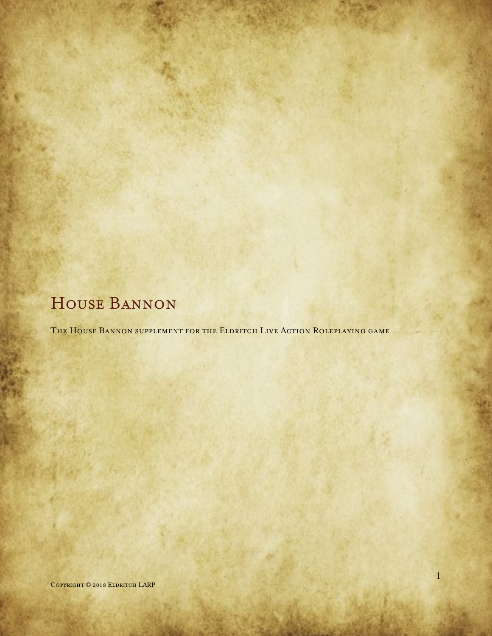# HOUSE BANNON

The House Bannon supplement for the Eldritch Live Action Roleplaying game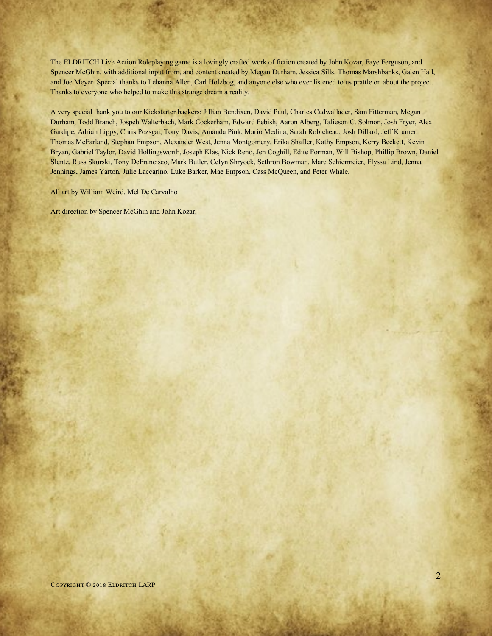The ELDRITCH Live Action Roleplaying game is a lovingly crafted work of fiction created by John Kozar, Faye Ferguson, and Spencer McGhin, with additional input from, and content created by Megan Durham, Jessica Sills, Thomas Marshbanks, Galen Hall, and Joe Meyer. Special thanks to Lehanna Allen, Carl Holzbog, and anyone else who ever listened to us prattle on about the project. Thanks to everyone who helped to make this strange dream a reality.

A very special thank you to our Kickstarter backers: Jillian Bendixen, David Paul, Charles Cadwallader, Sam Fitterman, Megan Durham, Todd Branch, Jospeh Walterbach, Mark Cockerham, Edward Febish, Aaron Alberg, Talieson C. Solmon, Josh Fryer, Alex Gardipe, Adrian Lippy, Chris Pozsgai, Tony Davis, Amanda Pink, Mario Medina, Sarah Robicheau, Josh Dillard, Jeff Kramer, Thomas McFarland, Stephan Empson, Alexander West, Jenna Montgomery, Erika Shaffer, Kathy Empson, Kerry Beckett, Kevin Bryan, Gabriel Taylor, David Hollingsworth, Joseph Klas, Nick Reno, Jen Coghill, Edite Forman, Will Bishop, Phillip Brown, Daniel Slentz, Russ Skurski, Tony DeFrancisco, Mark Butler, Cefyn Shryock, Sethron Bowman, Marc Schiermeier, Elyssa Lind, Jenna Jennings, James Yarton, Julie Laccarino, Luke Barker, Mae Empson, Cass McQueen, and Peter Whale.

All art by William Weird, Mel De Carvalho

Art direction by Spencer McGhin and John Kozar.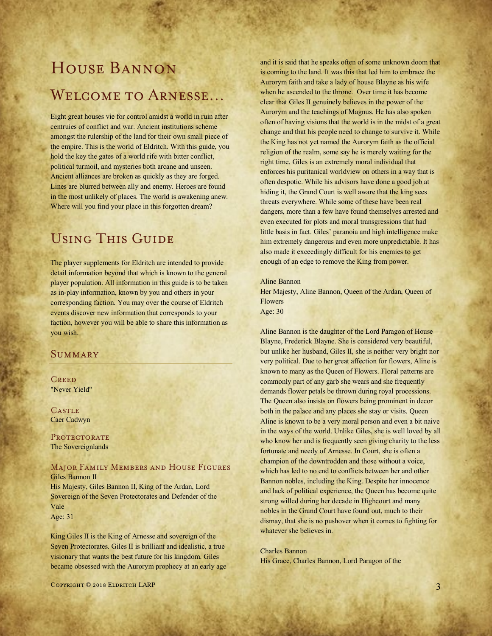# House Bannon Welcome to Arnesse…

Eight great houses vie for control amidst a world in ruin after centruies of conflict and war. Ancient institutions scheme amongst the rulership of the land for their own small piece of the empire. This is the world of Eldritch. With this guide, you hold the key the gates of a world rife with bitter conflict, political turmoil, and mysteries both arcane and unseen. Ancient alliances are broken as quickly as they are forged. Lines are blurred between ally and enemy. Heroes are found in the most unlikely of places. The world is awakening anew. Where will you find your place in this forgotten dream?

# Using This Guide

The player supplements for Eldritch are intended to provide detail information beyond that which is known to the general player population. All information in this guide is to be taken as in-play information, known by you and others in your corresponding faction. You may over the course of Eldritch events discover new information that corresponds to your faction, however you will be able to share this information as you wish.

# **SUMMARY**

**CREED** "Never Yield"

**CASTLE** Caer Cadwyn

PROTECTORATE The Sovereignlands

#### Major Family Members and House Figures Giles Bannon II

His Majesty, Giles Bannon II, King of the Ardan, Lord Sovereign of the Seven Protectorates and Defender of the Vale

Age: 31

King Giles II is the King of Arnesse and sovereign of the Seven Protectorates. Giles II is brilliant and idealistic, a true visionary that wants the best future for his kingdom. Giles became obsessed with the Aurorym prophecy at an early age and it is said that he speaks often of some unknown doom that is coming to the land. It was this that led him to embrace the Aurorym faith and take a lady of house Blayne as his wife when he ascended to the throne. Over time it has become clear that Giles II genuinely believes in the power of the Aurorym and the teachings of Magnus. He has also spoken often of having visions that the world is in the midst of a great change and that his people need to change to survive it. While the King has not yet named the Aurorym faith as the official religion of the realm, some say he is merely waiting for the right time. Giles is an extremely moral individual that enforces his puritanical worldview on others in a way that is often despotic. While his advisors have done a good job at hiding it, the Grand Court is well aware that the king sees threats everywhere. While some of these have been real dangers, more than a few have found themselves arrested and even executed for plots and moral transgressions that had little basis in fact. Giles' paranoia and high intelligence make him extremely dangerous and even more unpredictable. It has also made it exceedingly difficult for his enemies to get enough of an edge to remove the King from power.

#### Aline Bannon

Her Majesty, Aline Bannon, Queen of the Ardan, Queen of Flowers Age: 30

Aline Bannon is the daughter of the Lord Paragon of House Blayne, Frederick Blayne. She is considered very beautiful, but unlike her husband, Giles II, she is neither very bright nor very political. Due to her great affection for flowers, Aline is known to many as the Queen of Flowers. Floral patterns are commonly part of any garb she wears and she frequently demands flower petals be thrown during royal processions. The Queen also insists on flowers being prominent in decor both in the palace and any places she stay or visits. Queen Aline is known to be a very moral person and even a bit naive in the ways of the world. Unlike Giles, she is well loved by all who know her and is frequently seen giving charity to the less fortunate and needy of Arnesse. In Court, she is often a champion of the downtrodden and those without a voice, which has led to no end to conflicts between her and other Bannon nobles, including the King. Despite her innocence and lack of political experience, the Queen has become quite strong willed during her decade in Highcourt and many nobles in the Grand Court have found out, much to their dismay, that she is no pushover when it comes to fighting for whatever she believes in.

#### Charles Bannon

His Grace, Charles Bannon, Lord Paragon of the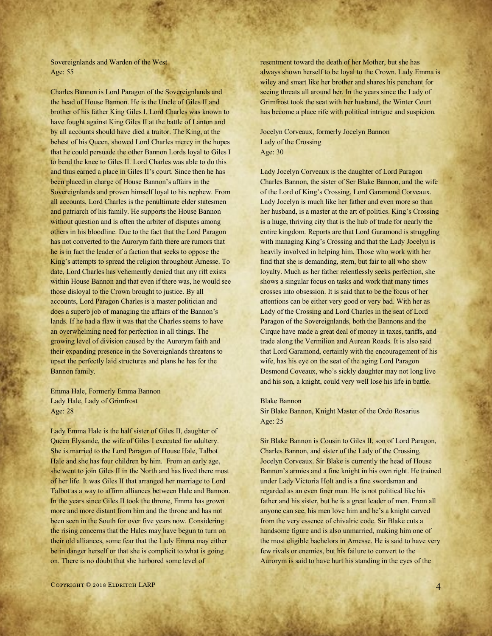Sovereignlands and Warden of the West Age: 55

Charles Bannon is Lord Paragon of the Sovereignlands and the head of House Bannon. He is the Uncle of Giles II and brother of his father King Giles I. Lord Charles was known to have fought against King Giles II at the battle of Lanton and by all accounts should have died a traitor. The King, at the behest of his Queen, showed Lord Charles mercy in the hopes that he could persuade the other Bannon Lords loyal to Giles I to bend the knee to Giles II. Lord Charles was able to do this and thus earned a place in Giles II's court. Since then he has been placed in charge of House Bannon's affairs in the Sovereignlands and proven himself loyal to his nephew. From all accounts, Lord Charles is the penultimate elder statesmen and patriarch of his family. He supports the House Bannon without question and is often the arbiter of disputes among others in his bloodline. Due to the fact that the Lord Paragon has not converted to the Aurorym faith there are rumors that he is in fact the leader of a faction that seeks to oppose the King's attempts to spread the religion throughout Arnesse. To date, Lord Charles has vehemently denied that any rift exists within House Bannon and that even if there was, he would see those disloyal to the Crown brought to justice. By all accounts, Lord Paragon Charles is a master politician and does a superb job of managing the affairs of the Bannon's lands. If he had a flaw it was that the Charles seems to have an overwhelming need for perfection in all things. The growing level of division caused by the Aurorym faith and their expanding presence in the Sovereignlands threatens to upset the perfectly laid structures and plans he has for the Bannon family.

Emma Hale, Formerly Emma Bannon Lady Hale, Lady of Grimfrost Age: 28

Lady Emma Hale is the half sister of Giles II, daughter of Queen Elysande, the wife of Giles I executed for adultery. She is married to the Lord Paragon of House Hale, Talbot Hale and she has four children by him. From an early age, she went to join Giles II in the North and has lived there most of her life. It was Giles II that arranged her marriage to Lord Talbot as a way to affirm alliances between Hale and Bannon. In the years since Giles II took the throne, Emma has grown more and more distant from him and the throne and has not been seen in the South for over five years now. Considering the rising concerns that the Hales may have begun to turn on their old alliances, some fear that the Lady Emma may either be in danger herself or that she is complicit to what is going on. There is no doubt that she harbored some level of

resentment toward the death of her Mother, but she has always shown herself to be loyal to the Crown. Lady Emma is wiley and smart like her brother and shares his penchant for seeing threats all around her. In the years since the Lady of Grimfrost took the seat with her husband, the Winter Court has become a place rife with political intrigue and suspicion.

Jocelyn Corveaux, formerly Jocelyn Bannon Lady of the Crossing Age: 30

Lady Jocelyn Corveaux is the daughter of Lord Paragon Charles Bannon, the sister of Ser Blake Bannon, and the wife of the Lord of King's Crossing, Lord Garamond Corveaux. Lady Jocelyn is much like her father and even more so than her husband, is a master at the art of politics. King's Crossing is a huge, thriving city that is the hub of trade for nearly the entire kingdom. Reports are that Lord Garamond is struggling with managing King's Crossing and that the Lady Jocelyn is heavily involved in helping him. Those who work with her find that she is demanding, stern, but fair to all who show loyalty. Much as her father relentlessly seeks perfection, she shows a singular focus on tasks and work that many times crosses into obsession. It is said that to be the focus of her attentions can be either very good or very bad. With her as Lady of the Crossing and Lord Charles in the seat of Lord Paragon of the Sovereignlands, both the Bannons and the Cirque have made a great deal of money in taxes, tariffs, and trade along the Vermilion and Aurean Roads. It is also said that Lord Garamond, certainly with the encouragement of his wife, has his eye on the seat of the aging Lord Paragon Desmond Coveaux, who's sickly daughter may not long live and his son, a knight, could very well lose his life in battle.

## Blake Bannon

Sir Blake Bannon, Knight Master of the Ordo Rosarius Age: 25

Sir Blake Bannon is Cousin to Giles II, son of Lord Paragon, Charles Bannon, and sister of the Lady of the Crossing, Jocelyn Corveaux. Sir Blake is currently the head of House Bannon's armies and a fine knight in his own right. He trained under Lady Victoria Holt and is a fine swordsman and regarded as an even finer man. He is not political like his father and his sister, but he is a great leader of men. From all anyone can see, his men love him and he's a knight carved from the very essence of chivalric code. Sir Blake cuts a handsome figure and is also unmarried, making him one of the most eligible bachelors in Arnesse. He is said to have very few rivals or enemies, but his failure to convert to the Aurorym is said to have hurt his standing in the eyes of the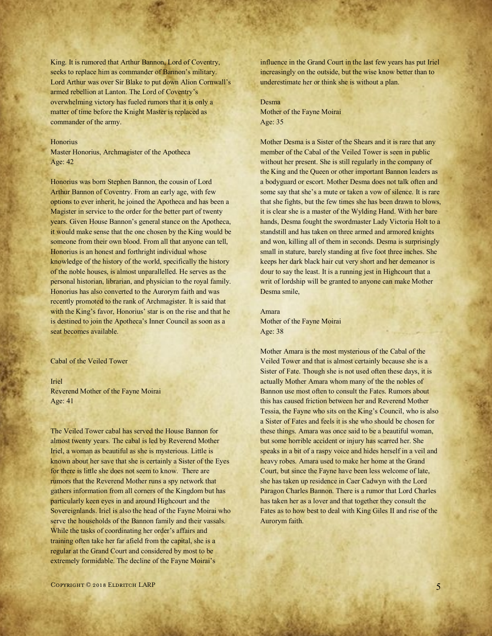King. It is rumored that Arthur Bannon, Lord of Coventry, seeks to replace him as commander of Bannon's military. Lord Arthur was over Sir Blake to put down Alion Cornwall's armed rebellion at Lanton. The Lord of Coventry's overwhelming victory has fueled rumors that it is only a matter of time before the Knight Master is replaced as commander of the army.

#### **Honorius**

Master Honorius, Archmagister of the Apotheca Age: 42

Honorius was born Stephen Bannon, the cousin of Lord Arthur Bannon of Coventry. From an early age, with few options to ever inherit, he joined the Apotheca and has been a Magister in service to the order for the better part of twenty years. Given House Bannon's general stance on the Apotheca, it would make sense that the one chosen by the King would be someone from their own blood. From all that anyone can tell, Honorius is an honest and forthright individual whose knowledge of the history of the world, specifically the history of the noble houses, is almost unparallelled. He serves as the personal historian, librarian, and physician to the royal family. Honorius has also converted to the Aurorym faith and was recently promoted to the rank of Archmagister. It is said that with the King's favor, Honorius' star is on the rise and that he is destined to join the Apotheca's Inner Council as soon as a seat becomes available.

#### Cabal of the Veiled Tower

Iriel

Reverend Mother of the Fayne Moirai Age: 41

The Veiled Tower cabal has served the House Bannon for almost twenty years. The cabal is led by Reverend Mother Iriel, a woman as beautiful as she is mysterious. Little is known about her save that she is certainly a Sister of the Eyes for there is little she does not seem to know. There are rumors that the Reverend Mother runs a spy network that gathers information from all corners of the Kingdom but has particularly keen eyes in and around Highcourt and the Sovereignlands. Iriel is also the head of the Fayne Moirai who serve the households of the Bannon family and their vassals. While the tasks of coordinating her order's affairs and training often take her far afield from the capital, she is a regular at the Grand Court and considered by most to be extremely formidable. The decline of the Fayne Moirai's

influence in the Grand Court in the last few years has put Iriel increasingly on the outside, but the wise know better than to underestimate her or think she is without a plan.

Desma Mother of the Fayne Moirai Age: 35

Mother Desma is a Sister of the Shears and it is rare that any member of the Cabal of the Veiled Tower is seen in public without her present. She is still regularly in the company of the King and the Queen or other important Bannon leaders as a bodyguard or escort. Mother Desma does not talk often and some say that she's a mute or taken a vow of silence. It is rare that she fights, but the few times she has been drawn to blows, it is clear she is a master of the Wylding Hand. With her bare hands, Desma fought the swordmaster Lady Victoria Holt to a standstill and has taken on three armed and armored knights and won, killing all of them in seconds. Desma is surprisingly small in stature, barely standing at five foot three inches. She keeps her dark black hair cut very short and her demeanor is dour to say the least. It is a running jest in Highcourt that a writ of lordship will be granted to anyone can make Mother Desma smile,

Amara Mother of the Fayne Moirai Age: 38

Mother Amara is the most mysterious of the Cabal of the Veiled Tower and that is almost certainly because she is a Sister of Fate. Though she is not used often these days, it is actually Mother Amara whom many of the the nobles of Bannon use most often to consult the Fates. Rumors about this has caused friction between her and Reverend Mother Tessia, the Fayne who sits on the King's Council, who is also a Sister of Fates and feels it is she who should be chosen for these things. Amara was once said to be a beautiful woman, but some horrible accident or injury has scarred her. She speaks in a bit of a raspy voice and hides herself in a veil and heavy robes. Amara used to make her home at the Grand Court, but since the Fayne have been less welcome of late, she has taken up residence in Caer Cadwyn with the Lord Paragon Charles Bannon. There is a rumor that Lord Charles has taken her as a lover and that together they consult the Fates as to how best to deal with King Giles II and rise of the Aurorym faith.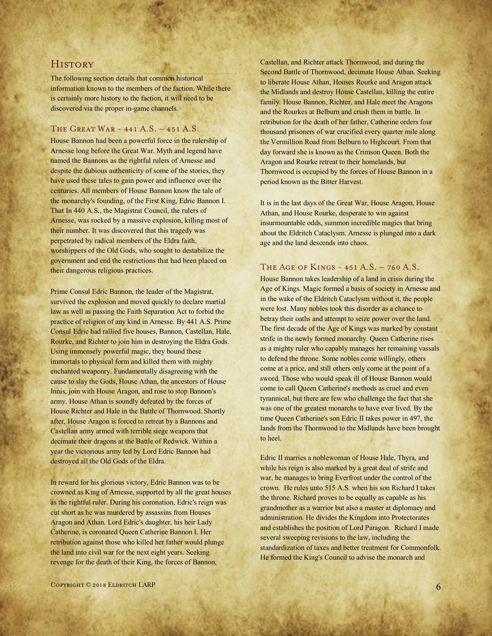# **HISTORY**

The following section details that common historical information known to the members of the faction. While there is certainly more history to the faction, it will need to be discovered via the proper in-game channels.

# The Great War - 441 A.S. – 451 A.S.

House Bannon had been a powerful force in the rulership of Arnesse long before the Great War. Myth and legend have named the Bannons as the rightful rulers of Arnesse and despite the dubious authenticity of some of the stories, they have used these tales to gain power and influence over the centuries. All members of House Bannon know the tale of the monarchy's founding, of the First King, Edric Bannon I. That In 440 A.S., the Magistrat Council, the rulers of Arnesse, was rocked by a massive explosion, killing most of their number. It was discovered that this tragedy was perpetrated by radical members of the Eldra faith, worshippers of the Old Gods, who sought to destabilize the government and end the restrictions that had been placed on their dangerous religious practices.

Prime Consul Edric Bannon, the leader of the Magistrat, survived the explosion and moved quickly to declare martial law as well as passing the Faith Separation Act to forbid the practice of religion of any kind in Arnesse. By 441 A.S. Prime Consul Edric had rallied five houses, Bannon, Castellan, Hale, Rourke, and Richter to join him in destroying the Eldra Gods. Using immensely powerful magic, they bound these immortals to physical form and killed them with mighty enchanted weaponry. Fundamentally disagreeing with the cause to slay the Gods, House Athan, the ancestors of House Innis, join with House Aragon, and rose to stop Bannon's army. House Athan is soundly defeated by the forces of House Richter and Hale in the Battle of Thornwood. Shortly after, House Aragon is forced to retreat by a Bannons and Castellan army armed with terrible siege weapons that decimate their dragons at the Battle of Redwick. Within a year the victorious army led by Lord Edric Bannon had destroyed all the Old Gods of the Eldra.

In reward for his glorious victory, Edric Bannon was to be crowned as King of Arnesse, supported by all the great houses as the rightful ruler. During his coronation, Edric's reign was cut short as he was murdered by assassins from Houses Aragon and Athan. Lord Edric's daughter, his heir Lady Catherine, is coronated Queen Catherine Bannon I. Her retribution against those who killed her father would plunge the land into civil war for the next eight years. Seeking revenge for the death of their King, the forces of Bannon,

Castellan, and Richter attack Thornwood, and during the Second Battle of Thornwood, decimate House Athan. Seeking to liberate House Athan, Houses Rourke and Aragon attack the Midlands and destroy House Castellan, killing the entire family. House Bannon, Richter, and Hale meet the Aragons and the Rourkes at Belburn and crush them in battle. In retribution for the death of her father, Catherine orders four thousand prisoners of war crucified every quarter mile along the Vermillion Road from Belburn to Highcourt. From that day forward she is known as the Crimson Queen. Both the Aragon and Rourke retreat to their homelands, but Thornwood is occupied by the forces of House Bannon in a period known as the Bitter Harvest.

It is in the last days of the Great War, House Aragon, House Athan, and House Rourke, desperate to win against insurmountable odds, summon incredible magics that bring about the Eldritch Cataclysm. Arnesse is plunged into a dark age and the land descends into chaos.

#### The Age of Kings - 451 A.S. – 760 A.S.

House Bannon takes leadership of a land in crisis during the Age of Kings. Magic formed a basis of society in Arnesse and in the wake of the Eldritch Cataclysm without it, the people were lost. Many nobles took this disorder as a chance to betray their oaths and attempt to seize power over the land. The first decade of the Age of Kings was marked by constant strife in the newly formed monarchy. Queen Catherine rises as a mighty ruler who capably manages her remaining vassals to defend the throne. Some nobles come willingly, others come at a price, and still others only come at the point of a sword. Those who would speak ill of House Bannon would come to call Queen Catherine's methods as cruel and even tyrannical, but there are few who challenge the fact that she was one of the greatest monarchs to have ever lived. By the time Queen Catherine's son Edric II takes power in 497, the lands from the Thornwood to the Midlands have been brought to heel.

Edric II marries a noblewoman of House Hale, Thyra, and while his reign is also marked by a great deal of strife and war, he manages to bring Everfrost under the control of the crown. He rules unto 515 A.S. when his son Richard I takes the throne. Richard proves to be equally as capable as his grandmother as a warrior but also a master at diplomacy and administration. He divides the Kingdom into Protectorates and establishes the position of Lord Paragon. Richard I made several sweeping revisions to the law, including the standardization of taxes and better treatment for Commonfolk. He formed the King's Council to advise the monarch and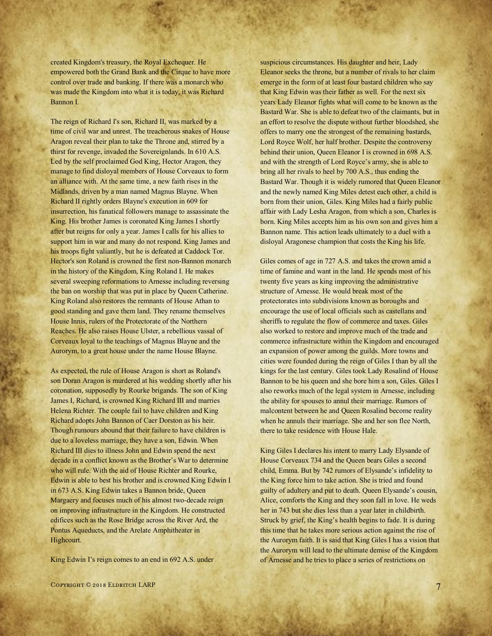created Kingdom's treasury, the Royal Exchequer. He empowered both the Grand Bank and the Cirque to have more control over trade and banking. If there was a monarch who was made the Kingdom into what it is today, it was Richard Bannon I.

The reign of Richard I's son, Richard II, was marked by a time of civil war and unrest. The treacherous snakes of House Aragon reveal their plan to take the Throne and, stirred by a thirst for revenge, invaded the Sovereignlands. In 610 A.S. Led by the self proclaimed God King, Hector Aragon, they manage to find disloyal members of House Corveaux to form an alliance with. At the same time, a new faith rises in the Midlands, driven by a man named Magnus Blayne. When Richard II rightly orders Blayne's execution in 609 for insurrection, his fanatical followers manage to assassinate the King. His brother James is coronated King James I shortly after but reigns for only a year. James I calls for his allies to support him in war and many do not respond. King James and his troops fight valiantly, but he is defeated at Caddock Tor. Hector's son Roland is crowned the first non-Bannon monarch in the history of the Kingdom, King Roland I. He makes several sweeping reformations to Arnesse including reversing the ban on worship that was put in place by Queen Catherine. King Roland also restores the remnants of House Athan to good standing and gave them land. They rename themselves House Innis, rulers of the Protectorate of the Northern Reaches. He also raises House Ulster, a rebellious vassal of Corveaux loyal to the teachings of Magnus Blayne and the Aurorym, to a great house under the name House Blayne.

As expected, the rule of House Aragon is short as Roland's son Doran Aragon is murdered at his wedding shortly after his coronation, supposedly by Rourke brigands. The son of King James I, Richard, is crowned King Richard III and marries Helena Richter. The couple fail to have children and King Richard adopts John Bannon of Caer Dorston as his heir. Though rumours abound that their failure to have children is due to a loveless marriage, they have a son, Edwin. When Richard III dies to illness John and Edwin spend the next decade in a conflict known as the Brother's War to determine who will rule. With the aid of House Richter and Rourke, Edwin is able to best his brother and is crowned King Edwin I in 673 A.S. King Edwin takes a Bannon bride, Queen Margaery and focuses much of his almost two-decade reign on improving infrastructure in the Kingdom. He constructed edifices such as the Rose Bridge across the River Ard, the Pontus Aqueducts, and the Arelate Amphitheater in Highcourt.

King Edwin I's reign comes to an end in 692 A.S. under

suspicious circumstances. His daughter and heir, Lady Eleanor seeks the throne, but a number of rivals to her claim emerge in the form of at least four bastard children who say that King Edwin was their father as well. For the next six years Lady Eleanor fights what will come to be known as the Bastard War. She is able to defeat two of the claimants, but in an effort to resolve the dispute without further bloodshed, she offers to marry one the strongest of the remaining bastards, Lord Royce Wolf, her half brother. Despite the controversy behind their union, Queen Eleanor I is crowned in 698 A.S. and with the strength of Lord Royce's army, she is able to bring all her rivals to heel by 700 A.S., thus ending the Bastard War. Though it is widely rumored that Queen Eleanor and the newly named King Miles detest each other, a child is born from their union, Giles. King Miles had a fairly public affair with Lady Lesha Aragon, from which a son, Charles is born. King Miles accepts him as his own son and gives him a Bannon name. This action leads ultimately to a duel with a disloyal Aragonese champion that costs the King his life.

Giles comes of age in 727 A.S. and takes the crown amid a time of famine and want in the land. He spends most of his twenty five years as king improving the administrative structure of Arnesse. He would break most of the protectorates into subdivisions known as boroughs and encourage the use of local officials such as castellans and sheriffs to regulate the flow of commerce and taxes. Giles also worked to restore and improve much of the trade and commerce infrastructure within the Kingdom and encouraged an expansion of power among the guilds. More towns and cities were founded during the reign of Giles I than by all the kings for the last century. Giles took Lady Rosalind of House Bannon to be his queen and she bore him a son, Giles. Giles I also reworks much of the legal system in Arnesse, including the ability for spouses to annul their marriage. Rumors of malcontent between he and Queen Rosalind become reality when he annuls their marriage. She and her son flee North, there to take residence with House Hale.

King Giles I declares his intent to marry Lady Elysande of House Corveaux 734 and the Queen bears Giles a second child, Emma. But by 742 rumors of Elysande's infidelity to the King force him to take action. She is tried and found guilty of adultery and put to death. Queen Elysande's cousin, Alice, comforts the King and they soon fall in love. He weds her in 743 but she dies less than a year later in childbirth. Struck by grief, the King's health begins to fade. It is during this time that he takes more serious action against the rise of the Aurorym faith. It is said that King Giles I has a vision that the Aurorym will lead to the ultimate demise of the Kingdom of Arnesse and he tries to place a series of restrictions on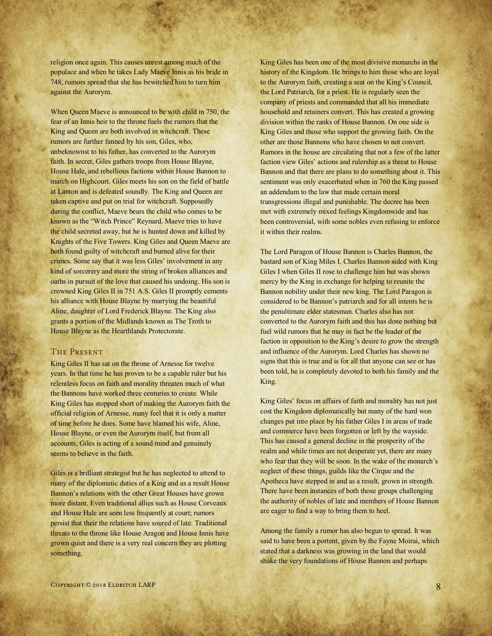religion once again. This causes unrest among much of the populace and when he takes Lady Maeve Innis as his bride in 748, rumors spread that she has bewitched him to turn him against the Aurorym.

When Queen Maeve is announced to be with child in 750, the fear of an Innis heir to the throne fuels the rumors that the King and Queen are both involved in witchcraft. These rumors are further fanned by his son, Giles, who, unbeknownst to his father, has converted to the Aurorym faith. In secret, Giles gathers troops from House Blayne, House Hale, and rebellious factions within House Bannon to march on Highcourt. Giles meets his son on the field of battle at Lanton and is defeated soundly. The King and Queen are taken captive and put on trial for witchcraft. Supposedly during the conflict, Maeve bears the child who comes to be known as the "Witch Prince" Reynard. Maeve tries to have the child secreted away, but he is hunted down and killed by Knights of the Five Towers. King Giles and Queen Maeve are both found guilty of witchcraft and burned alive for their crimes. Some say that it was less Giles' involvement in any kind of sorcerery and more the string of broken alliances and oaths in pursuit of the love that caused his undoing. His son is crowned King Giles II in 751 A.S. Giles II promptly cements his alliance with House Blayne by marrying the beautiful Aline, daughter of Lord Frederick Blayne. The King also grants a portion of the Midlands known as The Troth to House Blayne as the Hearthlands Protectorate.

#### The Present

King Giles II has sat on the throne of Arnesse for twelve years. In that time he has proven to be a capable ruler but his relentless focus on faith and morality threaten much of what the Bannons have worked three centuries to create. While King Giles has stopped short of making the Aurorym faith the official religion of Arnesse, many feel that it is only a matter of time before he does. Some have blamed his wife, Aline, House Blayne, or even the Aurorym itself, but from all accounts, Giles is acting of a sound mind and genuinely seems to believe in the faith.

Giles is a brilliant strategist but he has neglected to attend to many of the diplomatic duties of a King and as a result House Bannon's relations with the other Great Houses have grown more distant. Even traditional allies such as House Corveaux and House Hale are seen less frequently at court; rumors persist that their the relations have soured of late. Traditional threats to the throne like House Aragon and House Innis have grown quiet and there is a very real concern they are plotting something.

King Giles has been one of the most divisive monarchs in the history of the Kingdom. He brings to him those who are loyal to the Aurorym faith, creating a seat on the King's Council, the Lord Patriarch, for a priest. He is regularly seen the company of priests and commanded that all his immediate household and retainers convert. This has created a growing division within the ranks of House Bannon. On one side is King Giles and those who support the growing faith. On the other are those Bannons who have chosen to not convert. Rumors in the house are circulating that not a few of the latter faction view Giles' actions and rulership as a threat to House Bannon and that there are plans to do something about it. This sentiment was only exacerbated when in 760 the King passed an addendum to the law that made certain moral transgressions illegal and punishable. The decree has been met with extremely mixed feelings Kingdomwide and has been controversial, with some nobles even refusing to enforce it within their realms.

The Lord Paragon of House Bannon is Charles Bannon, the bastard son of King Miles I. Charles Bannon sided with King Giles I when Giles II rose to challenge him but was shown mercy by the King in exchange for helping to reunite the Bannon nobility under their new king. The Lord Paragon is considered to be Bannon's patriarch and for all intents he is the penultimate elder statesman. Charles also has not converted to the Aurorym faith and this has done nothing but fuel wild rumors that he may in fact be the leader of the faction in opposition to the King's desire to grow the strength and influence of the Aurorym. Lord Charles has shown no signs that this is true and is for all that anyone can see or has been told, he is completely devoted to both his family and the King.

King Giles' focus on affairs of faith and morality has not just cost the Kingdom diplomatically but many of the hard won changes put into place by his father Giles I in areas of trade and commerce have been forgotten or left by the wayside. This has caused a general decline in the prosperity of the realm and while times are not desperate yet, there are many who fear that they will be soon. In the wake of the monarch's neglect of these things, guilds like the Cirque and the Apotheca have stepped in and as a result, grown in strength. There have been instances of both those groups challenging the authority of nobles of late and members of House Bannon are eager to find a way to bring them to heel.

Among the family a rumor has also begun to spread. It was said to have been a portent, given by the Fayne Moirai, which stated that a darkness was growing in the land that would shake the very foundations of House Bannon and perhaps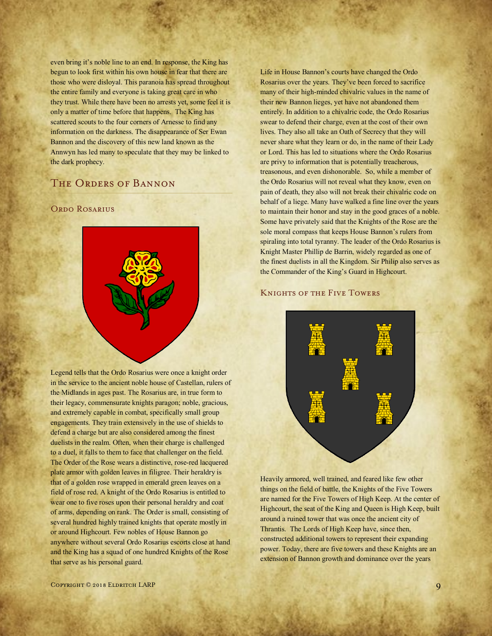even bring it's noble line to an end. In response, the King has begun to look first within his own house in fear that there are those who were disloyal. This paranoia has spread throughout the entire family and everyone is taking great care in who they trust. While there have been no arrests yet, some feel it is only a matter of time before that happens. The King has scattered scouts to the four corners of Arnesse to find any information on the darkness. The disappearance of Ser Ewan Bannon and the discovery of this new land known as the Annwyn has led many to speculate that they may be linked to the dark prophecy.

# The Orders of Bannon

# ORDO ROSARIUS



Legend tells that the Ordo Rosarius were once a knight order in the service to the ancient noble house of Castellan, rulers of the Midlands in ages past. The Rosarius are, in true form to their legacy, commensurate knights paragon; noble, gracious, and extremely capable in combat, specifically small group engagements. They train extensively in the use of shields to defend a charge but are also considered among the finest duelists in the realm. Often, when their charge is challenged to a duel, it falls to them to face that challenger on the field. The Order of the Rose wears a distinctive, rose-red lacquered plate armor with golden leaves in filigree. Their heraldry is that of a golden rose wrapped in emerald green leaves on a field of rose red. A knight of the Ordo Rosarius is entitled to wear one to five roses upon their personal heraldry and coat of arms, depending on rank. The Order is small, consisting of several hundred highly trained knights that operate mostly in or around Highcourt. Few nobles of House Bannon go anywhere without several Ordo Rosarius escorts close at hand and the King has a squad of one hundred Knights of the Rose that serve as his personal guard.

Life in House Bannon's courts have changed the Ordo Rosarius over the years. They've been forced to sacrifice many of their high-minded chivalric values in the name of their new Bannon lieges, yet have not abandoned them entirely. In addition to a chivalric code, the Ordo Rosarius swear to defend their charge, even at the cost of their own lives. They also all take an Oath of Secrecy that they will never share what they learn or do, in the name of their Lady or Lord. This has led to situations where the Ordo Rosarius are privy to information that is potentially treacherous, treasonous, and even dishonorable. So, while a member of the Ordo Rosarius will not reveal what they know, even on pain of death, they also will not break their chivalric code on behalf of a liege. Many have walked a fine line over the years to maintain their honor and stay in the good graces of a noble. Some have privately said that the Knights of the Rose are the sole moral compass that keeps House Bannon's rulers from spiraling into total tyranny. The leader of the Ordo Rosarius is Knight Master Phillip de Barrin, widely regarded as one of the finest duelists in all the Kingdom. Sir Philip also serves as the Commander of the King's Guard in Highcourt.

#### Knights of the Five Towers



Heavily armored, well trained, and feared like few other things on the field of battle, the Knights of the Five Towers are named for the Five Towers of High Keep. At the center of Highcourt, the seat of the King and Queen is High Keep, built around a ruined tower that was once the ancient city of Thrantis. The Lords of High Keep have, since then, constructed additional towers to represent their expanding power. Today, there are five towers and these Knights are an extension of Bannon growth and dominance over the years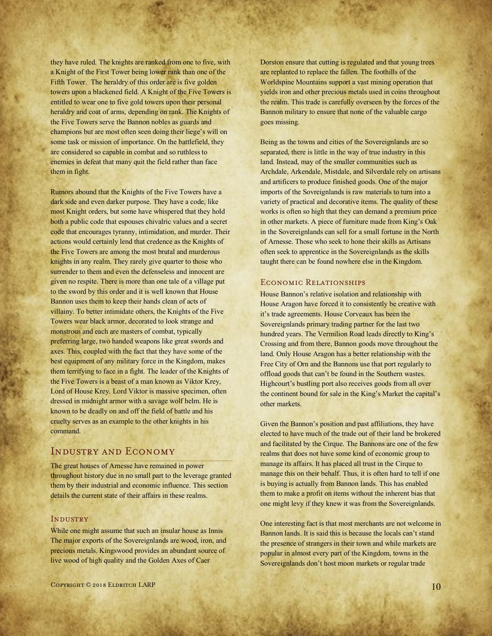they have ruled. The knights are ranked from one to five, with a Knight of the First Tower being lower rank than one of the Fifth Tower. The heraldry of this order are is five golden towers upon a blackened field. A Knight of the Five Towers is entitled to wear one to five gold towers upon their personal heraldry and coat of arms, depending on rank. The Knights of the Five Towers serve the Bannon nobles as guards and champions but are most often seen doing their liege's will on some task or mission of importance. On the battlefield, they are considered so capable in combat and so ruthless to enemies in defeat that many quit the field rather than face them in fight.

Rumors abound that the Knights of the Five Towers have a dark side and even darker purpose. They have a code, like most Knight orders, but some have whispered that they hold both a public code that espouses chivalric values and a secret code that encourages tyranny, intimidation, and murder. Their actions would certainly lend that credence as the Knights of the Five Towers are among the most brutal and murderous knights in any realm. They rarely give quarter to those who surrender to them and even the defenseless and innocent are given no respite. There is more than one tale of a village put to the sword by this order and it is well known that House Bannon uses them to keep their hands clean of acts of villainy. To better intimidate others, the Knights of the Five Towers wear black armor, decorated to look strange and monstrous and each are masters of combat, typically preferring large, two handed weapons like great swords and axes. This, coupled with the fact that they have some of the best equipment of any military force in the Kingdom, makes them terrifying to face in a fight. The leader of the Knights of the Five Towers is a beast of a man known as Viktor Krey, Lord of House Krey. Lord Viktor is massive specimen, often dressed in midnight armor with a savage wolf helm. He is known to be deadly on and off the field of battle and his cruelty serves as an example to the other knights in his command.

# Industry and Economy

The great houses of Arnesse have remained in power throughout history due in no small part to the leverage granted them by their industrial and economic influence. This section details the current state of their affairs in these realms.

#### **INDUSTRY**

While one might assume that such an insular house as Innis The major exports of the Sovereignlands are wood, iron, and precious metals. Kingswood provides an abundant source of live wood of high quality and the Golden Axes of Caer

Dorston ensure that cutting is regulated and that young trees are replanted to replace the fallen. The foothills of the Worldspine Mountains support a vast mining operation that yields iron and other precious metals used in coins throughout the realm. This trade is carefully overseen by the forces of the Bannon military to ensure that none of the valuable cargo goes missing.

Being as the towns and cities of the Sovereignlands are so separated, there is little in the way of true industry in this land. Instead, may of the smaller communities such as Archdale, Arkendale, Mistdale, and Silverdale rely on artisans and artificers to produce finished goods. One of the major imports of the Sovreignlands is raw materials to turn into a variety of practical and decorative items. The quality of these works is often so high that they can demand a premium price in other markets. A piece of furniture made from King's Oak in the Sovereignlands can sell for a small fortune in the North of Arnesse. Those who seek to hone their skills as Artisans often seek to apprentice in the Sovereignlands as the skills taught there can be found nowhere else in the Kingdom.

#### Economic Relationships

House Bannon's relative isolation and relationship with House Aragon have forced it to consistently be creative with it's trade agreements. House Corveaux has been the Sovereignlands primary trading partner for the last two hundred years. The Vermilion Road leads directly to King's Crossing and from there, Bannon goods move throughout the land. Only House Aragon has a better relationship with the Free City of Orn and the Bannons use that port regularly to offload goods that can't be found in the Southern wastes. Highcourt's bustling port also receives goods from all over the continent bound for sale in the King's Market the capital's other markets.

Given the Bannon's position and past affiliations, they have elected to have much of the trade out of their land be brokered and facilitated by the Cirque. The Bannons are one of the few realms that does not have some kind of economic group to manage its affairs. It has placed all trust in the Cirque to manage this on their behalf. Thus, it is often hard to tell if one is buying is actually from Bannon lands. This has enabled them to make a profit on items without the inherent bias that one might levy if they knew it was from the Sovereignlands.

One interesting fact is that most merchants are not welcome in Bannon lands. It is said this is because the locals can't stand the presence of strangers in their town and while markets are popular in almost every part of the Kingdom, towns in the Sovereignlands don't host moon markets or regular trade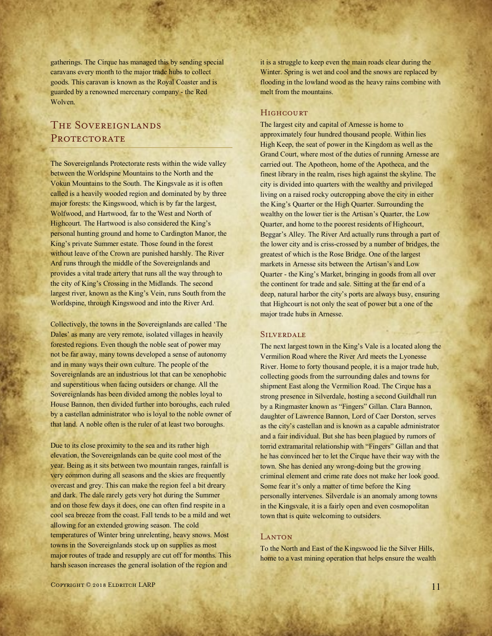gatherings. The Cirque has managed this by sending special caravans every month to the major trade hubs to collect goods. This caravan is known as the Royal Coaster and is guarded by a renowned mercenary company - the Red Wolven.

# THE SOVEREIGNLANDS PROTECTORATE

The Sovereignlands Protectorate rests within the wide valley between the Worldspine Mountains to the North and the Vokun Mountains to the South. The Kingsvale as it is often called is a heavily wooded region and dominated by by three major forests: the Kingswood, which is by far the largest, Wolfwood, and Hartwood, far to the West and North of Highcourt. The Hartwood is also considered the King's personal hunting ground and home to Cardington Manor, the King's private Summer estate. Those found in the forest without leave of the Crown are punished harshly. The River Ard runs through the middle of the Sovereignlands and provides a vital trade artery that runs all the way through to the city of King's Crossing in the Midlands. The second largest river, known as the King's Vein, runs South from the Worldspine, through Kingswood and into the River Ard.

Collectively, the towns in the Sovereignlands are called 'The Dales' as many are very remote, isolated villages in heavily forested regions. Even though the noble seat of power may not be far away, many towns developed a sense of autonomy and in many ways their own culture. The people of the Sovereignlands are an industrious lot that can be xenophobic and superstitious when facing outsiders or change. All the Sovereignlands has been divided among the nobles loyal to House Bannon, then divided further into boroughs, each ruled by a castellan administrator who is loyal to the noble owner of that land. A noble often is the ruler of at least two boroughs.

Due to its close proximity to the sea and its rather high elevation, the Sovereignlands can be quite cool most of the year. Being as it sits between two mountain ranges, rainfall is very common during all seasons and the skies are frequently overcast and grey. This can make the region feel a bit dreary and dark. The dale rarely gets very hot during the Summer and on those few days it does, one can often find respite in a cool sea breeze from the coast. Fall tends to be a mild and wet allowing for an extended growing season. The cold temperatures of Winter bring unrelenting, heavy snows. Most towns in the Sovereignlands stock up on supplies as most major routes of trade and resupply are cut off for months. This harsh season increases the general isolation of the region and

it is a struggle to keep even the main roads clear during the Winter. Spring is wet and cool and the snows are replaced by flooding in the lowland wood as the heavy rains combine with melt from the mountains.

### **HIGHCOURT**

The largest city and capital of Arnesse is home to approximately four hundred thousand people. Within lies High Keep, the seat of power in the Kingdom as well as the Grand Court, where most of the duties of running Arnesse are carried out. The Apotheon, home of the Apotheca, and the finest library in the realm, rises high against the skyline. The city is divided into quarters with the wealthy and privileged living on a raised rocky outcropping above the city in either the King's Quarter or the High Quarter. Surrounding the wealthy on the lower tier is the Artisan's Quarter, the Low Quarter, and home to the poorest residents of Highcourt, Beggar's Alley. The River Ard actually runs through a part of the lower city and is criss-crossed by a number of bridges, the greatest of which is the Rose Bridge. One of the largest markets in Arnesse sits between the Artisan's and Low Quarter - the King's Market, bringing in goods from all over the continent for trade and sale. Sitting at the far end of a deep, natural harbor the city's ports are always busy, ensuring that Highcourt is not only the seat of power but a one of the major trade hubs in Arnesse.

#### **SILVERDALE**

The next largest town in the King's Vale is a located along the Vermilion Road where the River Ard meets the Lyonesse River. Home to forty thousand people, it is a major trade hub, collecting goods from the surrounding dales and towns for shipment East along the Vermilion Road. The Cirque has a strong presence in Silverdale, hosting a second Guildhall run by a Ringmaster known as "Fingers" Gillan. Clara Bannon, daughter of Lawrence Bannon, Lord of Caer Dorston, serves as the city's castellan and is known as a capable administrator and a fair individual. But she has been plagued by rumors of torrid extramarital relationship with "Fingers" Gillan and that he has convinced her to let the Cirque have their way with the town. She has denied any wrong-doing but the growing criminal element and crime rate does not make her look good. Some fear it's only a matter of time before the King personally intervenes. Silverdale is an anomaly among towns in the Kingsvale, it is a fairly open and even cosmopolitan town that is quite welcoming to outsiders.

#### **LANTON**

To the North and East of the Kingswood lie the Silver Hills, home to a vast mining operation that helps ensure the wealth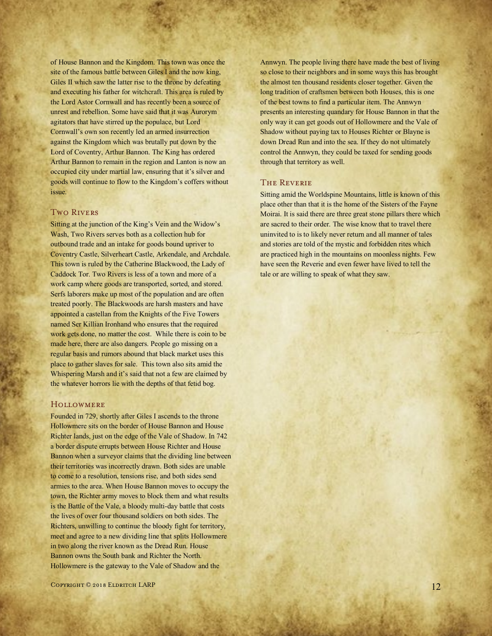of House Bannon and the Kingdom. This town was once the site of the famous battle between Giles I and the now king, Giles II which saw the latter rise to the throne by defeating and executing his father for witchcraft. This area is ruled by the Lord Astor Cornwall and has recently been a source of unrest and rebellion. Some have said that it was Aurorym agitators that have stirred up the populace, but Lord Cornwall's own son recently led an armed insurrection against the Kingdom which was brutally put down by the Lord of Coventry, Arthur Bannon. The King has ordered Arthur Bannon to remain in the region and Lanton is now an occupied city under martial law, ensuring that it's silver and goods will continue to flow to the Kingdom's coffers without issue.

### Two Rivers

Sitting at the junction of the King's Vein and the Widow's Wash, Two Rivers serves both as a collection hub for outbound trade and an intake for goods bound upriver to Coventry Castle, Silverheart Castle, Arkendale, and Archdale. This town is ruled by the Catherine Blackwood, the Lady of Caddock Tor. Two Rivers is less of a town and more of a work camp where goods are transported, sorted, and stored. Serfs laborers make up most of the population and are often treated poorly. The Blackwoods are harsh masters and have appointed a castellan from the Knights of the Five Towers named Ser Killian Ironhand who ensures that the required work gets done, no matter the cost. While there is coin to be made here, there are also dangers. People go missing on a regular basis and rumors abound that black market uses this place to gather slaves for sale. This town also sits amid the Whispering Marsh and it's said that not a few are claimed by the whatever horrors lie with the depths of that fetid bog.

#### **HOLLOWMERE**

Founded in 729, shortly after Giles I ascends to the throne Hollowmere sits on the border of House Bannon and House Richter lands, just on the edge of the Vale of Shadow. In 742 a border dispute errupts between House Richter and House Bannon when a surveyor claims that the dividing line between their territories was incorrectly drawn. Both sides are unable to come to a resolution, tensions rise, and both sides send armies to the area. When House Bannon moves to occupy the town, the Richter army moves to block them and what results is the Battle of the Vale, a bloody multi-day battle that costs the lives of over four thousand soldiers on both sides. The Richters, unwilling to continue the bloody fight for territory, meet and agree to a new dividing line that splits Hollowmere in two along the river known as the Dread Run. House Bannon owns the South bank and Richter the North. Hollowmere is the gateway to the Vale of Shadow and the

Annwyn. The people living there have made the best of living so close to their neighbors and in some ways this has brought the almost ten thousand residents closer together. Given the long tradition of craftsmen between both Houses, this is one of the best towns to find a particular item. The Annwyn presents an interesting quandary for House Bannon in that the only way it can get goods out of Hollowmere and the Vale of Shadow without paying tax to Houses Richter or Blayne is down Dread Run and into the sea. If they do not ultimately control the Annwyn, they could be taxed for sending goods through that territory as well.

#### The Reverie

Sitting amid the Worldspine Mountains, little is known of this place other than that it is the home of the Sisters of the Fayne Moirai. It is said there are three great stone pillars there which are sacred to their order. The wise know that to travel there uninvited to is to likely never return and all manner of tales and stories are told of the mystic and forbidden rites which are practiced high in the mountains on moonless nights. Few have seen the Reverie and even fewer have lived to tell the tale or are willing to speak of what they saw.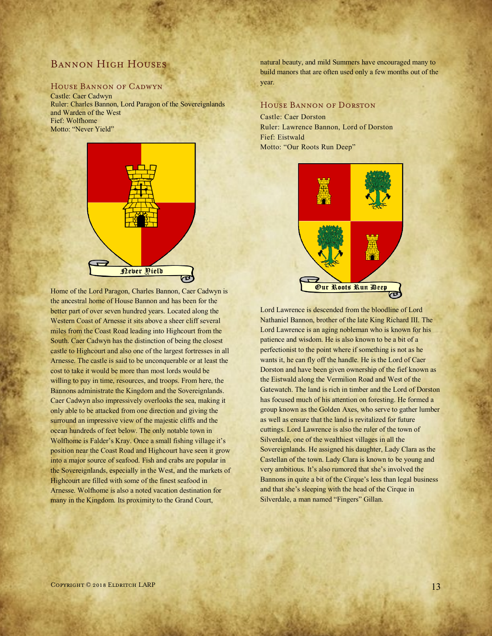# Bannon High Houses

## House Bannon of Cadwyn

Castle: Caer Cadwyn Ruler: Charles Bannon, Lord Paragon of the Sovereignlands and Warden of the West Fief: Wolfhome Motto: "Never Yield"



Home of the Lord Paragon, Charles Bannon, Caer Cadwyn is the ancestral home of House Bannon and has been for the better part of over seven hundred years. Located along the Western Coast of Arnesse it sits above a sheer cliff several miles from the Coast Road leading into Highcourt from the South. Caer Cadwyn has the distinction of being the closest castle to Highcourt and also one of the largest fortresses in all Arnesse. The castle is said to be unconquerable or at least the cost to take it would be more than most lords would be willing to pay in time, resources, and troops. From here, the Bannons administrate the Kingdom and the Sovereignlands. Caer Cadwyn also impressively overlooks the sea, making it only able to be attacked from one direction and giving the surround an impressive view of the majestic cliffs and the ocean hundreds of feet below. The only notable town in Wolfhome is Falder's Kray. Once a small fishing village it's position near the Coast Road and Highcourt have seen it grow into a major source of seafood. Fish and crabs are popular in the Sovereignlands, especially in the West, and the markets of Highcourt are filled with some of the finest seafood in Arnesse. Wolfhome is also a noted vacation destination for many in the Kingdom. Its proximity to the Grand Court,

natural beauty, and mild Summers have encouraged many to build manors that are often used only a few months out of the year.

#### House Bannon of Dorston

Castle: Caer Dorston Ruler: Lawrence Bannon, Lord of Dorston Fief: Eistwald Motto: "Our Roots Run Deep"



Lord Lawrence is descended from the bloodline of Lord Nathaniel Bannon, brother of the late King Richard III. The Lord Lawrence is an aging nobleman who is known for his patience and wisdom. He is also known to be a bit of a perfectionist to the point where if something is not as he wants it, he can fly off the handle. He is the Lord of Caer Dorston and have been given ownership of the fief known as the Eistwald along the Vermilion Road and West of the Gatewatch. The land is rich in timber and the Lord of Dorston has focused much of his attention on foresting. He formed a group known as the Golden Axes, who serve to gather lumber as well as ensure that the land is revitalized for future cuttings. Lord Lawrence is also the ruler of the town of Silverdale, one of the wealthiest villages in all the Sovereignlands. He assigned his daughter, Lady Clara as the Castellan of the town. Lady Clara is known to be young and very ambitious. It's also rumored that she's involved the Bannons in quite a bit of the Cirque's less than legal business and that she's sleeping with the head of the Cirque in Silverdale, a man named "Fingers" Gillan.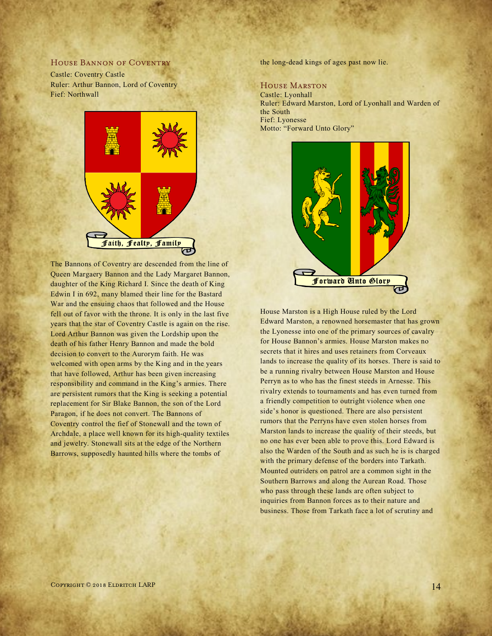#### HOUSE BANNON OF COVENTRY

Castle: Coventry Castle Ruler: Arthur Bannon, Lord of Coventry Fief: Northwall



The Bannons of Coventry are descended from the line of Queen Margaery Bannon and the Lady Margaret Bannon, daughter of the King Richard I. Since the death of King Edwin I in 692, many blamed their line for the Bastard War and the ensuing chaos that followed and the House fell out of favor with the throne. It is only in the last five years that the star of Coventry Castle is again on the rise. Lord Arthur Bannon was given the Lordship upon the death of his father Henry Bannon and made the bold decision to convert to the Aurorym faith. He was welcomed with open arms by the King and in the years that have followed, Arthur has been given increasing responsibility and command in the King's armies. There are persistent rumors that the King is seeking a potential replacement for Sir Blake Bannon, the son of the Lord Paragon, if he does not convert. The Bannons of Coventry control the fief of Stonewall and the town of Archdale, a place well known for its high-quality textiles and jewelry. Stonewall sits at the edge of the Northern Barrows, supposedly haunted hills where the tombs of

the long-dead kings of ages past now lie.

#### House Marston

Castle: Lyonhall Ruler: Edward Marston, Lord of Lyonhall and Warden of the South Fief: Lyonesse Motto: "Forward Unto Glory"



House Marston is a High House ruled by the Lord Edward Marston, a renowned horsemaster that has grown the Lyonesse into one of the primary sources of cavalry for House Bannon's armies. House Marston makes no secrets that it hires and uses retainers from Corveaux lands to increase the quality of its horses. There is said to be a running rivalry between House Marston and House Perryn as to who has the finest steeds in Arnesse. This rivalry extends to tournaments and has even turned from a friendly competition to outright violence when one side's honor is questioned. There are also persistent rumors that the Perryns have even stolen horses from Marston lands to increase the quality of their steeds, but no one has ever been able to prove this. Lord Edward is also the Warden of the South and as such he is is charged with the primary defense of the borders into Tarkath. Mounted outriders on patrol are a common sight in the Southern Barrows and along the Aurean Road. Those who pass through these lands are often subject to inquiries from Bannon forces as to their nature and business. Those from Tarkath face a lot of scrutiny and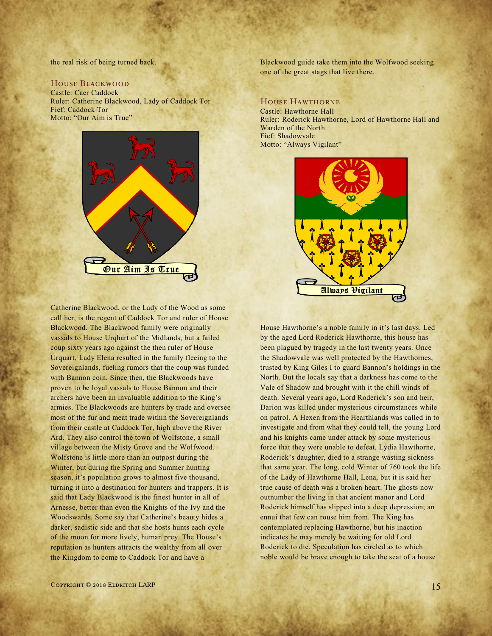the real risk of being turned back.

### House Blackwood

Castle: Caer Caddock Ruler: Catherine Blackwood, Lady of Caddock Tor Fief: Caddock Tor Motto: "Our Aim is True"



Catherine Blackwood, or the Lady of the Wood as some call her, is the regent of Caddock Tor and ruler of House Blackwood. The Blackwood family were originally vassals to House Urqhart of the Midlands, but a failed coup sixty years ago against the then ruler of House Urquart, Lady Elena resulted in the family fleeing to the Sovereignlands, fueling rumors that the coup was funded with Bannon coin. Since then, the Blackwoods have proven to be loyal vassals to House Bannon and their archers have been an invaluable addition to the King's armies. The Blackwoods are hunters by trade and oversee most of the fur and meat trade within the Sovereignlands from their castle at Caddock Tor, high above the River Ard. They also control the town of Wolfstone, a small village between the Misty Grove and the Wolfwood. Wolfstone is little more than an outpost during the Winter, but during the Spring and Summer hunting season, it's population grows to almost five thousand, turning it into a destination for hunters and trappers. It is said that Lady Blackwood is the finest hunter in all of Arnesse, better than even the Knights of the Ivy and the Woodswards. Some say that Catherine's beauty hides a darker, sadistic side and that she hosts hunts each cycle of the moon for more lively, human prey. The House's reputation as hunters attracts the wealthy from all over the Kingdom to come to Caddock Tor and have a

Blackwood guide take them into the Wolfwood seeking one of the great stags that live there.

#### House Hawthorne

Castle: Hawthorne Hall Ruler: Roderick Hawthorne, Lord of Hawthorne Hall and Warden of the North Fief: Shadowvale Motto: "Always Vigilant"



House Hawthorne's a noble family in it's last days. Led by the aged Lord Roderick Hawthorne, this house has been plagued by tragedy in the last twenty years. Once the Shadowvale was well protected by the Hawthornes, trusted by King Giles I to guard Bannon's holdings in the North. But the locals say that a darkness has come to the Vale of Shadow and brought with it the chill winds of death. Several years ago, Lord Roderick's son and heir, Darion was killed under mysterious circumstances while on patrol. A Hexen from the Hearthlands was called in to investigate and from what they could tell, the young Lord and his knights came under attack by some mysterious force that they were unable to defeat. Lydia Hawthorne, Roderick's daughter, died to a strange wasting sickness that same year. The long, cold Winter of 760 took the life of the Lady of Hawthorne Hall, Lena, but it is said her true cause of death was a broken heart. The ghosts now outnumber the living in that ancient manor and Lord Roderick himself has slipped into a deep depression; an ennui that few can rouse him from. The King has contemplated replacing Hawthorne, but his inaction indicates he may merely be waiting for old Lord Roderick to die. Speculation has circled as to which noble would be brave enough to take the seat of a house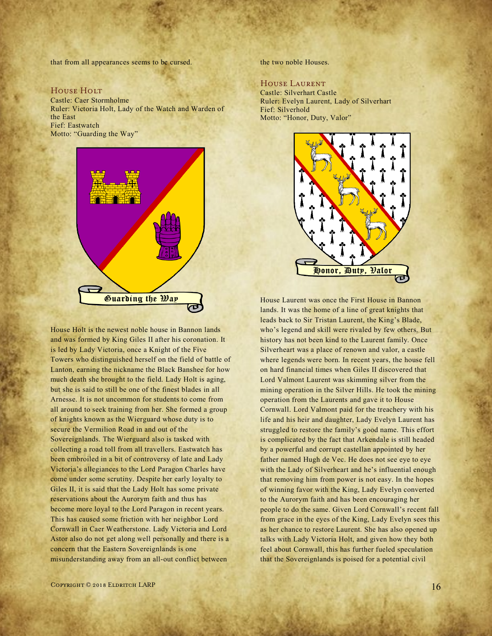that from all appearances seems to be cursed.

#### HOUSE HOLT

Castle: Caer Stormholme Ruler: Victoria Holt, Lady of the Watch and Warden of the East Fief: Eastwatch Motto: "Guarding the Way"



House Holt is the newest noble house in Bannon lands and was formed by King Giles II after his coronation. It is led by Lady Victoria, once a Knight of the Five Towers who distinguished herself on the field of battle of Lanton, earning the nickname the Black Banshee for how much death she brought to the field. Lady Holt is aging, but she is said to still be one of the finest blades in all Arnesse. It is not uncommon for students to come from all around to seek training from her. She formed a group of knights known as the Wierguard whose duty is to secure the Vermilion Road in and out of the Sovereignlands. The Wierguard also is tasked with collecting a road toll from all travellers. Eastwatch has been embroiled in a bit of controversy of late and Lady Victoria's allegiances to the Lord Paragon Charles have come under some scrutiny. Despite her early loyalty to Giles II, it is said that the Lady Holt has some private reservations about the Aurorym faith and thus has become more loyal to the Lord Paragon in recent years. This has caused some friction with her neighbor Lord Cornwall in Caer Weatherstone. Lady Victoria and Lord Astor also do not get along well personally and there is a concern that the Eastern Sovereignlands is one misunderstanding away from an all-out conflict between

the two noble Houses.

# House Laurent

Castle: Silverhart Castle Ruler: Evelyn Laurent, Lady of Silverhart Fief: Silverhold Motto: "Honor, Duty, Valor"



House Laurent was once the First House in Bannon lands. It was the home of a line of great knights that leads back to Sir Tristan Laurent, the King's Blade, who's legend and skill were rivaled by few others. But history has not been kind to the Laurent family. Once Silverheart was a place of renown and valor, a castle where legends were born. In recent years, the house fell on hard financial times when Giles II discovered that Lord Valmont Laurent was skimming silver from the mining operation in the Silver Hills. He took the mining operation from the Laurents and gave it to House Cornwall. Lord Valmont paid for the treachery with his life and his heir and daughter, Lady Evelyn Laurent has struggled to restore the family's good name. This effort is complicated by the fact that Arkendale is still headed by a powerful and corrupt castellan appointed by her father named Hugh de Vec. He does not see eye to eye with the Lady of Silverheart and he's influential enough that removing him from power is not easy. In the hopes of winning favor with the King, Lady Evelyn converted to the Aurorym faith and has been encouraging her people to do the same. Given Lord Cornwall's recent fall from grace in the eyes of the King, Lady Evelyn sees this as her chance to restore Laurent. She has also opened up talks with Lady Victoria Holt, and given how they both feel about Cornwall, this has further fueled speculation that the Sovereignlands is poised for a potential civil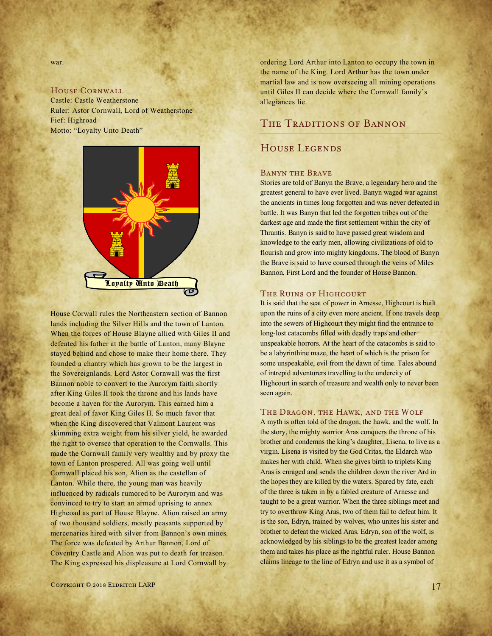war.

# House Cornwall

Castle: Castle Weatherstone Ruler: Astor Cornwall, Lord of Weatherstone Fief: Highroad Motto: "Loyalty Unto Death"



House Corwall rules the Northeastern section of Bannon lands including the Silver Hills and the town of Lanton. When the forces of House Blayne allied with Giles II and defeated his father at the battle of Lanton, many Blayne stayed behind and chose to make their home there. They founded a chantry which has grown to be the largest in the Sovereignlands. Lord Astor Cornwall was the first Bannon noble to convert to the Aurorym faith shortly after King Giles II took the throne and his lands have become a haven for the Aurorym. This earned him a great deal of favor King Giles II. So much favor that when the King discovered that Valmont Laurent was skimming extra weight from his silver yield, he awarded the right to oversee that operation to the Cornwalls. This made the Cornwall family very wealthy and by proxy the town of Lanton prospered. All was going well until Cornwall placed his son, Alion as the castellan of Lanton. While there, the young man was heavily influenced by radicals rumored to be Aurorym and was convinced to try to start an armed uprising to annex Higheoad as part of House Blayne. Alion raised an army of two thousand soldiers, mostly peasants supported by mercenaries hired with silver from Bannon's own mines. The force was defeated by Arthur Bannon, Lord of Coventry Castle and Alion was put to death for treason. The King expressed his displeasure at Lord Cornwall by

ordering Lord Arthur into Lanton to occupy the town in the name of the King. Lord Arthur has the town under martial law and is now overseeing all mining operations until Giles II can decide where the Cornwall family's allegiances lie.

# THE TRADITIONS OF BANNON

# House Legends

#### Banyn the Brave

Stories are told of Banyn the Brave, a legendary hero and the greatest general to have ever lived. Banyn waged war against the ancients in times long forgotten and was never defeated in battle. It was Banyn that led the forgotten tribes out of the darkest age and made the first settlement within the city of Thrantis. Banyn is said to have passed great wisdom and knowledge to the early men, allowing civilizations of old to flourish and grow into mighty kingdoms. The blood of Banyn the Brave is said to have coursed through the veins of Miles Bannon, First Lord and the founder of House Bannon.

### THE RUINS OF HIGHCOURT

It is said that the seat of power in Arnesse, Highcourt is built upon the ruins of a city even more ancient. If one travels deep into the sewers of Highcourt they might find the entrance to long-lost catacombs filled with deadly traps and other unspeakable horrors. At the heart of the catacombs is said to be a labyrinthine maze, the heart of which is the prison for some unspeakable, evil from the dawn of time. Tales abound of intrepid adventurers travelling to the undercity of Highcourt in search of treasure and wealth only to never been seen again.

#### The Dragon, the Hawk, and the Wolf

A myth is often told of the dragon, the hawk, and the wolf. In the story, the mighty warrior Aras conquers the throne of his brother and condemns the king's daughter, Lisena, to live as a virgin. Lisena is visited by the God Critas, the Eldarch who makes her with child. When she gives birth to triplets King Aras is enraged and sends the children down the river Ard in the hopes they are killed by the waters. Spared by fate, each of the three is taken in by a fabled creature of Arnesse and taught to be a great warrior. When the three siblings meet and try to overthrow King Aras, two of them fail to defeat him. It is the son, Edryn, trained by wolves, who unites his sister and brother to defeat the wicked Aras. Edryn, son of the wolf, is acknowledged by his siblings to be the greatest leader among them and takes his place as the rightful ruler. House Bannon claims lineage to the line of Edryn and use it as a symbol of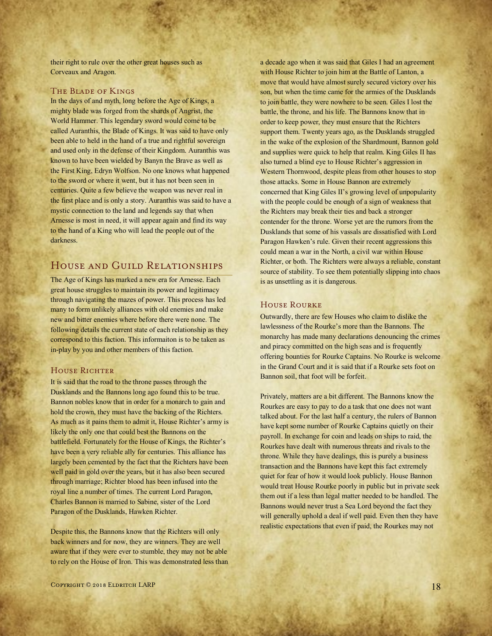their right to rule over the other great houses such as Corveaux and Aragon.

#### The Blade of Kings

In the days of and myth, long before the Age of Kings, a mighty blade was forged from the shards of Angrist, the World Hammer. This legendary sword would come to be called Auranthis, the Blade of Kings. It was said to have only been able to held in the hand of a true and rightful sovereign and used only in the defense of their Kingdom. Auranthis was known to have been wielded by Banyn the Brave as well as the First King, Edryn Wolfson. No one knows what happened to the sword or where it went, but it has not been seen in centuries. Quite a few believe the weapon was never real in the first place and is only a story. Auranthis was said to have a mystic connection to the land and legends say that when Arnesse is most in need, it will appear again and find its way to the hand of a King who will lead the people out of the darkness.

# House and Guild Relationships

The Age of Kings has marked a new era for Arnesse. Each great house struggles to maintain its power and legitimacy through navigating the mazes of power. This process has led many to form unlikely alliances with old enemies and make new and bitter enemies where before there were none. The following details the current state of each relationship as they correspond to this faction. This informaiton is to be taken as in-play by you and other members of this faction.

#### HOUSE RICHTER

It is said that the road to the throne passes through the Dusklands and the Bannons long ago found this to be true. Bannon nobles know that in order for a monarch to gain and hold the crown, they must have the backing of the Richters. As much as it pains them to admit it, House Richter's army is likely the only one that could best the Bannons on the battlefield. Fortunately for the House of Kings, the Richter's have been a very reliable ally for centuries. This alliance has largely been cemented by the fact that the Richters have been well paid in gold over the years, but it has also been secured through marriage; Richter blood has been infused into the royal line a number of times. The current Lord Paragon, Charles Bannon is married to Sabine, sister of the Lord Paragon of the Dusklands, Hawken Richter.

Despite this, the Bannons know that the Richters will only back winners and for now, they are winners. They are well aware that if they were ever to stumble, they may not be able to rely on the House of Iron. This was demonstrated less than a decade ago when it was said that Giles I had an agreement with House Richter to join him at the Battle of Lanton, a move that would have almost surely secured victory over his son, but when the time came for the armies of the Dusklands to join battle, they were nowhere to be seen. Giles I lost the battle, the throne, and his life. The Bannons know that in order to keep power, they must ensure that the Richters support them. Twenty years ago, as the Dusklands struggled in the wake of the explosion of the Shardmount, Bannon gold and supplies were quick to help that realm. King Giles II has also turned a blind eye to House Richter's aggression in Western Thornwood, despite pleas from other houses to stop those attacks. Some in House Bannon are extremely concerned that King Giles II's growing level of unpopularity with the people could be enough of a sign of weakness that the Richters may break their ties and back a stronger contender for the throne. Worse yet are the rumors from the Dusklands that some of his vassals are dissatisfied with Lord Paragon Hawken's rule. Given their recent aggressions this could mean a war in the North, a civil war within House Richter, or both. The Richters were always a reliable, constant source of stability. To see them potentially slipping into chaos is as unsettling as it is dangerous.

#### House Rourke

Outwardly, there are few Houses who claim to dislike the lawlessness of the Rourke's more than the Bannons. The monarchy has made many declarations denouncing the crimes and piracy committed on the high seas and is frequently offering bounties for Rourke Captains. No Rourke is welcome in the Grand Court and it is said that if a Rourke sets foot on Bannon soil, that foot will be forfeit.

Privately, matters are a bit different. The Bannons know the Rourkes are easy to pay to do a task that one does not want talked about. For the last half a century, the rulers of Bannon have kept some number of Rourke Captains quietly on their payroll. In exchange for coin and leads on ships to raid, the Rourkes have dealt with numerous threats and rivals to the throne. While they have dealings, this is purely a business transaction and the Bannons have kept this fact extremely quiet for fear of how it would look publicly. House Bannon would treat House Rourke poorly in public but in private seek them out if a less than legal matter needed to be handled. The Bannons would never trust a Sea Lord beyond the fact they will generally uphold a deal if well paid. Even then they have realistic expectations that even if paid, the Rourkes may not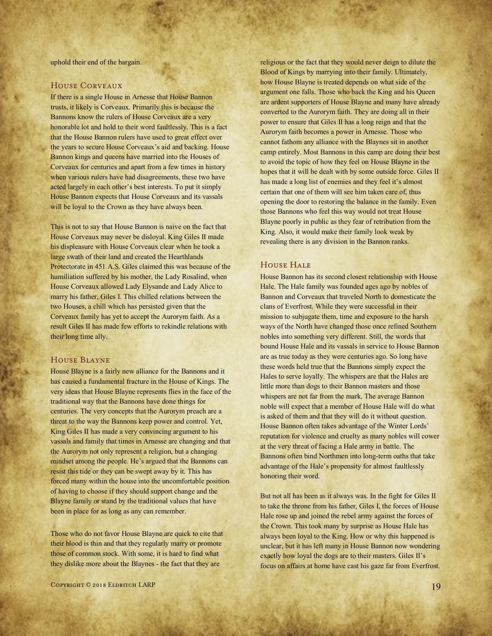uphold their end of the bargain.

## House Corveaux

If there is a single House in Arnesse that House Bannon trusts, it likely is Corveaux. Primarily this is because the Bannons know the rulers of House Corveaux are a very honorable lot and hold to their word faultlessly. This is a fact that the House Bannon rulers have used to great effect over the years to secure House Corveaux's aid and backing. House Bannon kings and queens have married into the Houses of Corveaux for centuries and apart from a few times in history when various rulers have had disagreements, these two have acted largely in each other's best interests. To put it simply House Bannon expects that House Corveaux and its vassals will be loyal to the Crown as they have always been.

This is not to say that House Bannon is naive on the fact that House Corveaux may never be disloyal. King Giles II made his displeasure with House Corveaux clear when he took a large swath of their land and created the Hearthlands Protectorate in 451 A.S. Giles claimed this was because of the humiliation suffered by his mother, the Lady Rosalind, when House Corveaux allowed Lady Elysande and Lady Alice to marry his father, Giles I. This chilled relations between the two Houses, a chill which has persisted given that the Corveaux family has yet to accept the Aurorym faith. As a result Giles II has made few efforts to rekindle relations with their long time ally.

#### House Blayne

House Blayne is a fairly new alliance for the Bannons and it has caused a fundamental fracture in the House of Kings. The very ideas that House Blayne represents flies in the face of the traditional way that the Bannons have done things for centuries. The very concepts that the Aurorym preach are a threat to the way the Bannons keep power and control. Yet, King Giles II has made a very convincing argument to his vassals and family that times in Arnesse are changing and that the Aurorym not only represent a religion, but a changing mindset among the people. He's argued that the Bannons can resist this tide or they can be swept away by it. This has forced many within the house into the uncomfortable position of having to choose if they should support change and the Blayne family or stand by the traditional values that have been in place for as long as any can remember.

Those who do not favor House Blayne are quick to cite that their blood is thin and that they regularly marry or promote those of common stock. With some, it is hard to find what they dislike more about the Blaynes - the fact that they are

religious or the fact that they would never deign to dilute the Blood of Kings by marrying into their family. Ultimately, how House Blayne is treated depends on what side of the argument one falls. Those who back the King and his Queen are ardent supporters of House Blayne and many have already converted to the Aurorym faith. They are doing all in their power to ensure that Giles II has a long reign and that the Aurorym faith becomes a power in Arnesse. Those who cannot fathom any alliance with the Blaynes sit in another camp entirely. Most Bannons in this camp are doing their best to avoid the topic of how they feel on House Blayne in the hopes that it will be dealt with by some outside force. Giles II has made a long list of enemies and they feel it's almost certain that one of them will see him taken care of, thus opening the door to restoring the balance in the family. Even those Bannons who feel this way would not treat House Blayne poorly in public as they fear of retribution from the King. Also, it would make their family look weak by revealing there is any division in the Bannon ranks.

## House Hale

House Bannon has its second closest relationship with House Hale. The Hale family was founded ages ago by nobles of Bannon and Corveaux that traveled North to domesticate the clans of Everfrost. While they were successful in their mission to subjugate them, time and exposure to the harsh ways of the North have changed those once refined Southern nobles into something very different. Still, the words that bound House Hale and its vassals in service to House Bannon are as true today as they were centuries ago. So long have these words held true that the Bannons simply expect the Hales to serve loyally. The whispers are that the Hales are little more than dogs to their Bannon masters and those whispers are not far from the mark. The average Bannon noble will expect that a member of House Hale will do what is asked of them and that they will do it without question. House Bannon often takes advantage of the Winter Lords' reputation for violence and cruelty as many nobles will cower at the very threat of facing a Hale army in battle. The Bannons often bind Northmen into long-term oaths that take advantage of the Hale's propensity for almost faultlessly honoring their word.

But not all has been as it always was. In the fight for Giles II to take the throne from his father, Giles I, the forces of House Hale rose up and joined the rebel army against the forces of the Crown. This took many by surprise as House Hale has always been loyal to the King. How or why this happened is unclear, but it has left many in House Bannon now wondering exactly how loyal the dogs are to their masters. Giles II's focus on affairs at home have cast his gaze far from Everfrost.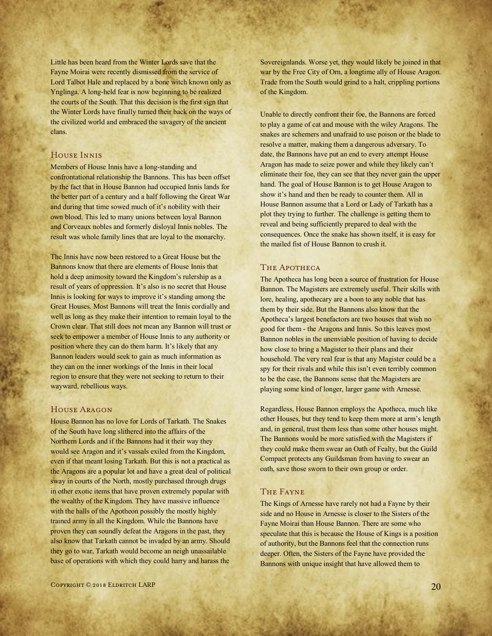Little has been heard from the Winter Lords save that the Fayne Moirai were recently dismissed from the service of Lord Talbot Hale and replaced by a bone witch known only as Ynglinga. A long-held fear is now beginning to be realized the courts of the South. That this decision is the first sign that the Winter Lords have finally turned their back on the ways of the civilized world and embraced the savagery of the ancient clans.

# House Innis

Members of House Innis have a long-standing and confrontational relationship the Bannons. This has been offset by the fact that in House Bannon had occupied Innis lands for the better part of a century and a half following the Great War and during that time sowed much of it's nobility with their own blood. This led to many unions between loyal Bannon and Corveaux nobles and formerly disloyal Innis nobles. The result was whole family lines that are loyal to the monarchy.

The Innis have now been restored to a Great House but the Bannons know that there are elements of House Innis that hold a deep animosity toward the Kingdom's rulership as a result of years of oppression. It's also is no secret that House Innis is looking for ways to improve it's standing among the Great Houses. Most Bannons will treat the Innis cordially and well as long as they make their intention to remain loyal to the Crown clear. That still does not mean any Bannon will trust or seek to empower a member of House Innis to any authority or position where they can do them harm. It's likely that any Bannon leaders would seek to gain as much information as they can on the inner workings of the Innis in their local region to ensure that they were not seeking to return to their wayward, rebellious ways.

## House Aragon

House Bannon has no love for Lords of Tarkath. The Snakes of the South have long slithered into the affairs of the Northern Lords and if the Bannons had it their way they would see Aragon and it's vassals exiled from the Kingdom, even if that meant losing Tarkath. But this is not a practical as the Aragons are a popular lot and have a great deal of political sway in courts of the North, mostly purchased through drugs in other exotic items that have proven extremely popular with the wealthy of the Kingdom. They have massive influence with the halls of the Apotheon possibly the mostly highly trained army in all the Kingdom. While the Bannons have proven they can soundly defeat the Aragons in the past, they also know that Tarkath cannot be invaded by an army. Should they go to war, Tarkath would become an neigh unassailable base of operations with which they could harry and harass the

Sovereignlands. Worse yet, they would likely be joined in that war by the Free City of Orn, a longtime ally of House Aragon. Trade from the South would grind to a halt, crippling portions of the Kingdom.

Unable to directly confront their foe, the Bannons are forced to play a game of cat and mouse with the wiley Aragons. The snakes are schemers and unafraid to use poison or the blade to resolve a matter, making them a dangerous adversary. To date, the Bannons have put an end to every attempt House Aragon has made to seize power and while they likely can't eliminate their foe, they can see that they never gain the upper hand. The goal of House Bannon is to get House Aragon to show it's hand and then be ready to counter them. All in House Bannon assume that a Lord or Lady of Tarkath has a plot they trying to further. The challenge is getting them to reveal and being sufficiently prepared to deal with the consequences. Once the snake has shown itself, it is easy for the mailed fist of House Bannon to crush it.

## THE APOTHECA

The Apotheca has long been a source of frustration for House Bannon. The Magisters are extremely useful. Their skills with lore, healing, apothecary are a boon to any noble that has them by their side. But the Bannons also know that the Apotheca's largest benefactors are two houses that wish no good for them - the Aragons and Innis. So this leaves most Bannon nobles in the unenviable position of having to decide how close to bring a Magister to their plans and their household. The very real fear is that any Magister could be a spy for their rivals and while this isn't even terribly common to be the case, the Bannons sense that the Magisters are playing some kind of longer, larger game with Arnesse.

Regardless, House Bannon employs the Apotheca, much like other Houses, but they tend to keep them more at arm's length and, in general, trust them less than some other houses might. The Bannons would be more satisfied with the Magisters if they could make them swear an Oath of Fealty, but the Guild Compact protects any Guildsman from having to swear an oath, save those sworn to their own group or order.

#### The Fayne

The Kings of Arnesse have rarely not had a Fayne by their side and no House in Arnesse is closer to the Sisters of the Fayne Moirai than House Bannon. There are some who speculate that this is because the House of Kings is a position of authority, but the Bannons feel that the connection runs deeper. Often, the Sisters of the Fayne have provided the Bannons with unique insight that have allowed them to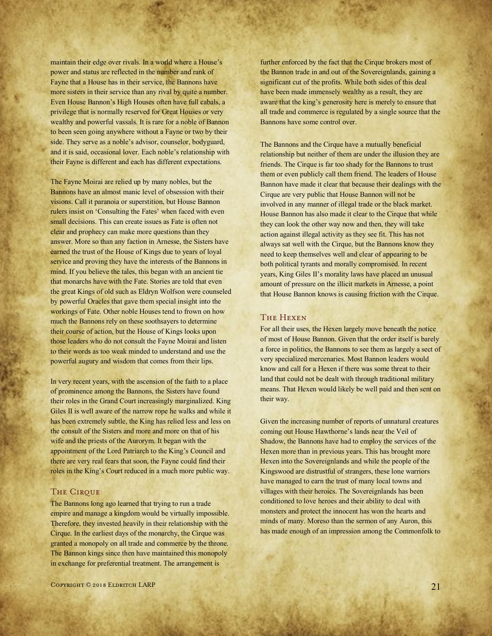maintain their edge over rivals. In a world where a House's power and status are reflected in the number and rank of Fayne that a House has in their service, the Bannons have more sisters in their service than any rival by quite a number. Even House Bannon's High Houses often have full cabals, a privilege that is normally reserved for Great Houses or very wealthy and powerful vassals. It is rare for a noble of Bannon to been seen going anywhere without a Fayne or two by their side. They serve as a noble's advisor, counselor, bodyguard, and it is said, occasional lover. Each noble's relationship with their Fayne is different and each has different expectations.

The Fayne Moirai are relied up by many nobles, but the Bannons have an almost manic level of obsession with their visions. Call it paranoia or superstition, but House Bannon rulers insist on 'Consulting the Fates' when faced with even small decisions. This can create issues as Fate is often not clear and prophecy can make more questions than they answer. More so than any faction in Arnesse, the Sisters have earned the trust of the House of Kings due to years of loyal service and proving they have the interests of the Bannons in mind. If you believe the tales, this began with an ancient tie that monarchs have with the Fate. Stories are told that even the great Kings of old such as Eldryn Wolfson were counseled by powerful Oracles that gave them special insight into the workings of Fate. Other noble Houses tend to frown on how much the Bannons rely on these soothsayers to determine their course of action, but the House of Kings looks upon those leaders who do not consult the Fayne Moirai and listen to their words as too weak minded to understand and use the powerful augury and wisdom that comes from their lips.

In very recent years, with the ascension of the faith to a place of prominence among the Bannons, the Sisters have found their roles in the Grand Court increasingly marginalized. King Giles II is well aware of the narrow rope he walks and while it has been extremely subtle, the King has relied less and less on the consult of the Sisters and more and more on that of his wife and the priests of the Aurorym. It began with the appointment of the Lord Patriarch to the King's Council and there are very real fears that soon, the Fayne could find their roles in the King's Court reduced in a much more public way.

#### THE CIRQUE

The Bannons long ago learned that trying to run a trade empire and manage a kingdom would be virtually impossible. Therefore, they invested heavily in their relationship with the Cirque. In the earliest days of the monarchy, the Cirque was granted a monopoly on all trade and commerce by the throne. The Bannon kings since then have maintained this monopoly in exchange for preferential treatment. The arrangement is

further enforced by the fact that the Cirque brokers most of the Bannon trade in and out of the Sovereignlands, gaining a significant cut of the profits. While both sides of this deal have been made immensely wealthy as a result, they are aware that the king's generosity here is merely to ensure that all trade and commerce is regulated by a single source that the Bannons have some control over.

The Bannons and the Cirque have a mutually beneficial relationship but neither of them are under the illusion they are friends. The Cirque is far too shady for the Bannons to trust them or even publicly call them friend. The leaders of House Bannon have made it clear that because their dealings with the Cirque are very public that House Bannon will not be involved in any manner of illegal trade or the black market. House Bannon has also made it clear to the Cirque that while they can look the other way now and then, they will take action against illegal activity as they see fit. This has not always sat well with the Cirque, but the Bannons know they need to keep themselves well and clear of appearing to be both political tyrants and morally compromised. In recent years, King Giles II's morality laws have placed an unusual amount of pressure on the illicit markets in Arnesse, a point that House Bannon knows is causing friction with the Cirque.

## The Hexen

For all their uses, the Hexen largely move beneath the notice of most of House Bannon. Given that the order itself is barely a force in politics, the Bannons to see them as largely a sect of very specialized mercenaries. Most Bannon leaders would know and call for a Hexen if there was some threat to their land that could not be dealt with through traditional military means. That Hexen would likely be well paid and then sent on their way.

Given the increasing number of reports of unnatural creatures coming out House Hawthorne's lands near the Veil of Shadow, the Bannons have had to employ the services of the Hexen more than in previous years. This has brought more Hexen into the Sovereignlands and while the people of the Kingswood are distrustful of strangers, these lone warriors have managed to earn the trust of many local towns and villages with their heroics. The Sovereignlands has been conditioned to love heroes and their ability to deal with monsters and protect the innocent has won the hearts and minds of many. Moreso than the sermon of any Auron, this has made enough of an impression among the Commonfolk to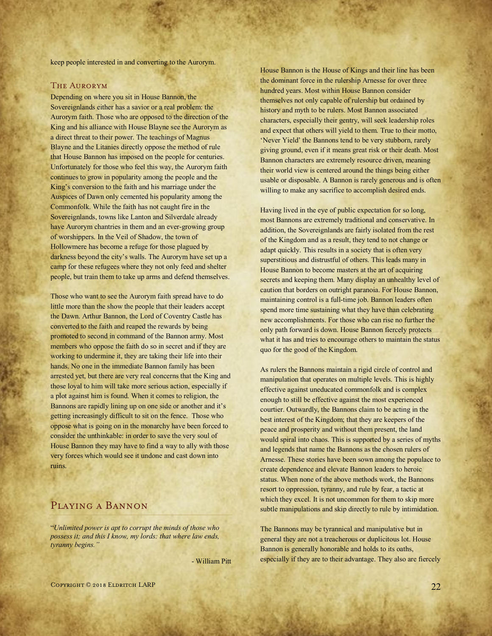keep people interested in and converting to the Aurorym.

#### The Aurorym

Depending on where you sit in House Bannon, the Sovereignlands either has a savior or a real problem: the Aurorym faith. Those who are opposed to the direction of the King and his alliance with House Blayne see the Aurorym as a direct threat to their power. The teachings of Magnus Blayne and the Litanies directly oppose the method of rule that House Bannon has imposed on the people for centuries. Unfortunately for those who feel this way, the Aurorym faith continues to grow in popularity among the people and the King's conversion to the faith and his marriage under the Auspices of Dawn only cemented his popularity among the Commonfolk. While the faith has not caught fire in the Sovereignlands, towns like Lanton and Silverdale already have Aurorym chantries in them and an ever-growing group of worshippers. In the Veil of Shadow, the town of Hollowmere has become a refuge for those plagued by darkness beyond the city's walls. The Aurorym have set up a camp for these refugees where they not only feed and shelter people, but train them to take up arms and defend themselves.

Those who want to see the Aurorym faith spread have to do little more than the show the people that their leaders accept the Dawn. Arthur Bannon, the Lord of Coventry Castle has converted to the faith and reaped the rewards by being promoted to second in command of the Bannon army. Most members who oppose the faith do so in secret and if they are working to undermine it, they are taking their life into their hands. No one in the immediate Bannon family has been arrested yet, but there are very real concerns that the King and those loyal to him will take more serious action, especially if a plot against him is found. When it comes to religion, the Bannons are rapidly lining up on one side or another and it's getting increasingly difficult to sit on the fence. Those who oppose what is going on in the monarchy have been forced to consider the unthinkable: in order to save the very soul of House Bannon they may have to find a way to ally with those very forces which would see it undone and cast down into ruins.

# Playing a Bannon

"*Unlimited power is apt to corrupt the minds of those who possess it; and this I know, my lords: that where law ends, tyranny begins."*

- William Pitt

House Bannon is the House of Kings and their line has been the dominant force in the rulership Arnesse for over three hundred years. Most within House Bannon consider themselves not only capable of rulership but ordained by history and myth to be rulers. Most Bannon associated characters, especially their gentry, will seek leadership roles and expect that others will yield to them. True to their motto, 'Never Yield' the Bannons tend to be very stubborn, rarely giving ground, even if it means great risk or their death. Most Bannon characters are extremely resource driven, meaning their world view is centered around the things being either usable or disposable. A Bannon is rarely generous and is often willing to make any sacrifice to accomplish desired ends.

Having lived in the eye of public expectation for so long, most Bannons are extremely traditional and conservative. In addition, the Sovereignlands are fairly isolated from the rest of the Kingdom and as a result, they tend to not change or adapt quickly. This results in a society that is often very superstitious and distrustful of others. This leads many in House Bannon to become masters at the art of acquiring secrets and keeping them. Many display an unhealthy level of caution that borders on outright paranoia. For House Bannon, maintaining control is a full-time job. Bannon leaders often spend more time sustaining what they have than celebrating new accomplishments. For those who can rise no further the only path forward is down. House Bannon fiercely protects what it has and tries to encourage others to maintain the status quo for the good of the Kingdom.

As rulers the Bannons maintain a rigid circle of control and manipulation that operates on multiple levels. This is highly effective against uneducated commonfolk and is complex enough to still be effective against the most experienced courtier. Outwardly, the Bannons claim to be acting in the best interest of the Kingdom; that they are keepers of the peace and prosperity and without them present, the land would spiral into chaos. This is supported by a series of myths and legends that name the Bannons as the chosen rulers of Arnesse. These stories have been sown among the populace to create dependence and elevate Bannon leaders to heroic status. When none of the above methods work, the Bannons resort to oppression, tyranny, and rule by fear, a tactic at which they excel. It is not uncommon for them to skip more subtle manipulations and skip directly to rule by intimidation.

The Bannons may be tyrannical and manipulative but in general they are not a treacherous or duplicitous lot. House Bannon is generally honorable and holds to its oaths, especially if they are to their advantage. They also are fiercely